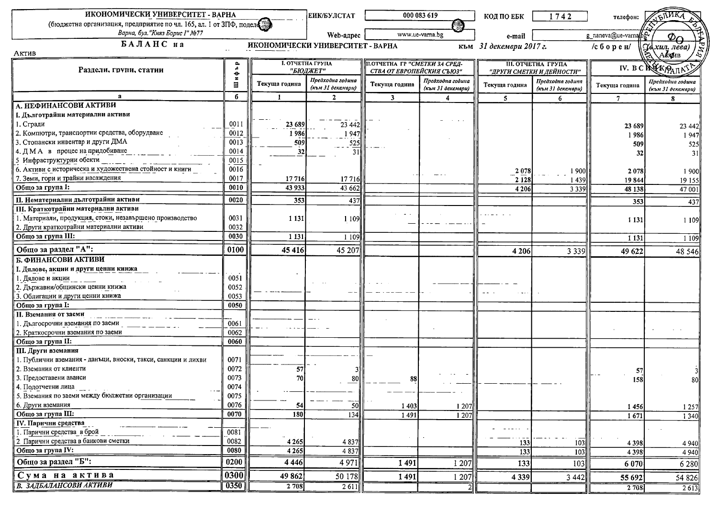| ИКОНОМИЧЕСКИ УНИВЕРСИТЕТ - ВАРНА                                                                      |                           |               | <b>ЕИК/БУЛСТАТ</b>                  |                                                                         | 000 083 619       | КОД ПО ЕБК       | 1742                                                   | телефон:             |                                       |
|-------------------------------------------------------------------------------------------------------|---------------------------|---------------|-------------------------------------|-------------------------------------------------------------------------|-------------------|------------------|--------------------------------------------------------|----------------------|---------------------------------------|
| (бюджетна организация, предприятие по чл. 165, ал. 1 от ЗПФ, поделе<br>Варна, бул. "Княз Борис І" №77 |                           |               |                                     |                                                                         |                   |                  |                                                        |                      |                                       |
|                                                                                                       |                           |               | Web-адрес                           | www.ue-varna.bg                                                         |                   | e-mail           |                                                        | g_naneva@ue-varnappg | Φ∩<br>Jexun, лева)                    |
| БАЛАНС на<br>Актив                                                                                    |                           |               |                                     | ИКОНОМИЧЕСКИ УНИВЕРСИТЕТ - ВАРНА<br>към 31 декември 2017 г.<br>/сборен/ |                   |                  |                                                        |                      |                                       |
| Раздели, групи, статии                                                                                | ۹è                        |               | <b>I. ОТЧЕТНА ГРУПА</b><br>"БЮДЖЕТ" | П.ОТЧЕТНА ГР "СМЕТКИ ЗА СРЕД-<br>СТВА ОТ ЕВРОПЕЙСКИЯ СЪЮЗ"              |                   |                  | <b>III. ОТЧЕТНА ГРУПА</b><br>"ДРУГИ СМЕТКИ И ДЕЙНОСТИ" |                      | IV. BC REAGARAS                       |
|                                                                                                       | $\bullet$<br>$\mathbf{x}$ |               | Предходна година                    |                                                                         | Предходна година  |                  |                                                        |                      |                                       |
|                                                                                                       | $\blacksquare$            | Текуща година | (към 31 декември)                   | Текуща година                                                           | (към 31 декември) | Текуща година    | Предходна година<br>(към 31 декември)                  | Текуща година        | Предходна година<br>(към 31 декември) |
|                                                                                                       | б                         | $\mathbf{1}$  | $\mathbf{2}$                        | $\overline{\mathbf{3}}$                                                 |                   | 5                | 6                                                      |                      | 8                                     |
| А. НЕФИНАНСОВИ АКТИВИ                                                                                 |                           |               |                                     |                                                                         |                   |                  |                                                        |                      |                                       |
| I. Дълготрайни материални активи                                                                      |                           |               |                                     |                                                                         |                   |                  |                                                        |                      |                                       |
| 1. Сгради                                                                                             | 0011                      | 23 689        | 23 4 4 2                            |                                                                         |                   |                  |                                                        | 23 689               | 23 442                                |
| 2. Компютри, транспортни средства, оборудване                                                         | 0012                      | 1986          | 1947                                |                                                                         |                   |                  |                                                        | 1986                 | 1947                                  |
| 3. Стопански инвентар и други ДМА                                                                     | 0013                      | 509           | 525                                 |                                                                         |                   |                  |                                                        | 509                  | 525                                   |
| 4. ДМА в процес на придобиване                                                                        | 0014                      | 32            | 31                                  |                                                                         |                   |                  |                                                        | 32                   | 31                                    |
| 5 Инфраструктурни обекти                                                                              | 0015                      |               |                                     |                                                                         |                   |                  |                                                        |                      |                                       |
| 6. Активи с историческа и художествена стойност и книги                                               | 0016                      |               |                                     |                                                                         | ---               | 2078             | 1900                                                   | 2078                 | 1900                                  |
| 7. Земи, гори и трайни насаждения                                                                     | 0017                      | 17716         | 17716                               |                                                                         |                   | 2 1 2 8          | 1439                                                   | 19844                | 19 15 5                               |
| Общо за група І:                                                                                      | 0010                      | 43 933        | 43 662                              |                                                                         |                   | 4 2 0 6          | 3 3 3 9                                                | 48 138               | 47 001                                |
| П. Нематериални дълготрайни активи                                                                    | 0020                      | 353           | 437                                 |                                                                         |                   |                  |                                                        | 353                  | 437                                   |
| <b>III. Краткотрайии материални активи</b>                                                            |                           |               |                                     |                                                                         |                   |                  |                                                        |                      |                                       |
| 1. Материали, продукция, стоки, незавършено производство                                              | 0031                      | 1 1 3 1       | 1 1 0 9                             |                                                                         |                   |                  |                                                        | 1 1 3 1              | 1 1 0 9                               |
| 2. Други краткотрайни материални активи                                                               | 0032                      |               |                                     |                                                                         |                   |                  |                                                        |                      |                                       |
| Общо за група III:                                                                                    | 0030                      | 1 1 3 1       | 1 1 0 9                             |                                                                         |                   |                  |                                                        | 1 1 3 1              | 1 1 0 9                               |
| Общо за раздел "А":                                                                                   | 0100                      | 45 4 16       | 45 207                              |                                                                         |                   | 4 2 0 6          | 3 3 3 9                                                |                      |                                       |
| Б. ФИНАНСОВИ АКТИВИ                                                                                   |                           |               |                                     |                                                                         |                   |                  |                                                        | 49 622               | 48 5 46                               |
| I. Дялове, акции и други ценни кинжа                                                                  |                           |               |                                     |                                                                         |                   |                  |                                                        |                      |                                       |
| . Дялове и акции                                                                                      | 0051                      |               |                                     |                                                                         |                   |                  |                                                        |                      |                                       |
| 2. Държавни/общински ценни книжа                                                                      | 0052                      |               |                                     |                                                                         |                   |                  |                                                        |                      |                                       |
| 3. Облигации и други ценни книжа                                                                      | 0053                      |               |                                     |                                                                         |                   |                  |                                                        |                      |                                       |
| Общо за група І:                                                                                      | 0050                      |               |                                     |                                                                         |                   |                  |                                                        |                      |                                       |
| <b>II. Вземания от заеми</b>                                                                          |                           |               |                                     |                                                                         |                   |                  |                                                        |                      |                                       |
| 1. Дългосрочни вземания по заеми                                                                      | 0061                      |               |                                     |                                                                         |                   |                  |                                                        |                      |                                       |
| 2. Краткосрочни вземания по заеми                                                                     | 0062                      |               |                                     |                                                                         |                   |                  |                                                        |                      |                                       |
| Общо за група II:                                                                                     | 0060                      |               |                                     |                                                                         |                   |                  |                                                        |                      |                                       |
| III. Други вземания                                                                                   |                           |               |                                     |                                                                         |                   |                  |                                                        |                      |                                       |
| 1. Публични вземания - данъци, вноски, такси, санкции и лихви                                         | 0071                      |               |                                     |                                                                         |                   |                  |                                                        |                      |                                       |
| 2. Вземания от клиенти                                                                                | 0072                      | 57            |                                     |                                                                         |                   |                  |                                                        |                      |                                       |
| 3. Предоставени аванси                                                                                | 0073                      |               | -80                                 | 88                                                                      |                   |                  |                                                        | 57<br>158            |                                       |
| 4. Подотчетни лица                                                                                    | 0074                      |               |                                     |                                                                         |                   |                  |                                                        |                      |                                       |
| 5. Вземания по заеми между бюджетни организации                                                       | 0075                      |               |                                     |                                                                         |                   |                  |                                                        |                      |                                       |
| 6. Други вземания                                                                                     | 0076                      | -54           | $\overline{50}$                     | 1 4 0 3                                                                 | 1207              |                  |                                                        |                      |                                       |
| Общо за група III:                                                                                    | 0070                      | 180           | 134                                 | 1491                                                                    | 1 207             |                  |                                                        | 1456<br>1671         | 1 2 5 7<br>1 3 4 0                    |
| <b>IV. Парични средства</b>                                                                           |                           |               |                                     |                                                                         |                   |                  |                                                        |                      |                                       |
| 1. Парични средства в брой                                                                            | 0081                      |               |                                     |                                                                         |                   |                  |                                                        |                      |                                       |
| 2. Парични средства в банкови сметки                                                                  | 0082                      | 4 2 6 5       | 4 8 3 7                             |                                                                         |                   | 133              | 103                                                    |                      |                                       |
| Общо за група IV:                                                                                     | 0080                      | 4 2 6 5       | 4 8 3 7                             |                                                                         |                   | $\overline{133}$ | 103                                                    | 4 3 9 8<br>4 3 9 8   | 4 9 4 0<br>4 9 4 0                    |
| Общо за раздел "Б":                                                                                   | 0200                      | 4 4 4 6       | 4 9 7 1                             | 1491                                                                    |                   |                  |                                                        |                      |                                       |
|                                                                                                       |                           |               |                                     |                                                                         | 1207              | 133              | 103                                                    | 6 0 70               | 6 2 8 0                               |
| Сума на актива                                                                                        | 0300                      | 49 862        | 50178                               | 1491                                                                    | 1207              | 4 3 3 9          | 3 4 4 2                                                | 55 692               | 54 826                                |
| В. ЗАДБАЛАНСОВИ АКТИВИ                                                                                | $\overline{0350}$         | 2708          | 2611                                |                                                                         |                   |                  |                                                        | 2 708                | $\overline{2613}$                     |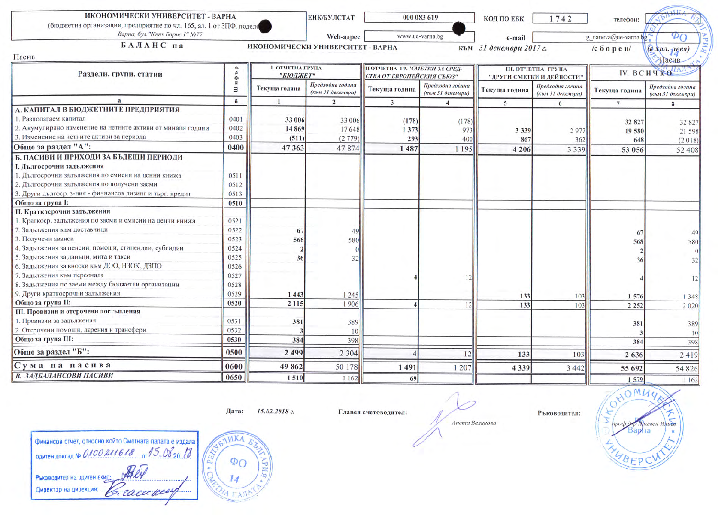| ИКОНОМИЧЕСКИ УНИВЕРСИТЕТ - ВАРНА<br>(бюджетна организация, предприятие по чл. 165, ал. 1 от ЗПФ, поделе |                              |                                     | <b>ЕИК/БУЛСТАТ</b>                    |                                                                    | 000 083 619                           | КОД ПО ЕБК              | 1742                                                   | телефон:             |                                       |
|---------------------------------------------------------------------------------------------------------|------------------------------|-------------------------------------|---------------------------------------|--------------------------------------------------------------------|---------------------------------------|-------------------------|--------------------------------------------------------|----------------------|---------------------------------------|
| Варна, бул. "Княз Борис І" №77                                                                          |                              |                                     | Web-адрес                             |                                                                    | www.ue-varna.bg                       | e-mail                  |                                                        | g_naneva@ue-varna.bg | Φ٢                                    |
| БАЛАНС на                                                                                               |                              | ИКОНОМИЧЕСКИ УНИВЕРСИТЕТ - ВАРНА    |                                       |                                                                    |                                       | към 31 декември 2017 г. |                                                        | $/$ сборен $/$       | $(a \times u$ . $q$ esa)              |
| Пасив                                                                                                   |                              |                                     |                                       |                                                                    |                                       |                         |                                                        |                      | Пасив                                 |
| Раздели, групи, статии                                                                                  |                              | <b>I. ОТЧЕТНА ГРУПА</b><br>"БЮДЖЕТ" |                                       | <b>II.ОТЧЕТНА ГР."СМЕТКИ ЗА СРЕД-</b><br>СТВА ОТ ЕВРОПЕЙСКИЯ СЪЮЗ" |                                       |                         | <b>III. ОТЧЕТНА ГРУПА</b><br>"ДРУГИ СМЕТКИ И ДЕЙНОСТИ" |                      | IV. BCHUKO                            |
|                                                                                                         | e<br>$\boldsymbol{\pi}$<br>Ξ | Текуща година                       | Предходна година<br>(към 31 декември) | Текуща година                                                      | Предходна година<br>(към 31 декември) | Текуща година           | Предходна година<br>(към 31 декември)                  | Текуща година        | Предходна година<br>(към 31 декември) |
| $\mathbf{a}$                                                                                            | $\boldsymbol{6}$             |                                     | $\overline{2}$                        | $\overline{3}$                                                     | $\boldsymbol{\Lambda}$                | 5                       | 6                                                      | 7                    | 8                                     |
| А. КАПИТАЛ В БЮДЖЕТНИТЕ ПРЕДПРИЯТИЯ                                                                     |                              |                                     |                                       |                                                                    |                                       |                         |                                                        |                      |                                       |
| 1. Разполагаем капитал                                                                                  | 0401                         | 33 006                              | 33 006                                | (178)                                                              | (178)                                 |                         |                                                        | 32 827               | 32 827                                |
| 2. Акумулирано изменение на нетните активи от минали години                                             | 0402                         | 14 869                              | 17648                                 | 1 3 7 3                                                            | 973                                   | 3 3 3 9                 | 2977                                                   | 19 580               | 21 598                                |
| 3. Изменение на нетните активи за периода                                                               | 0403                         | (511)                               | (2779)                                | 293                                                                | 400                                   | 867                     | 362                                                    | 648                  | (2018)                                |
| Общо за раздел "А":                                                                                     | 0400                         | 47 363                              | 47874                                 | 1 487                                                              | 1 195                                 | 4 2 0 6                 | 3 3 3 9                                                | 53 056               | 52 408                                |
| Б. ПАСИВИ И ПРИХОДИ ЗА БЪДЕЩИ ПЕРИОДИ                                                                   |                              |                                     |                                       |                                                                    |                                       |                         |                                                        |                      |                                       |
| I. Дългосрочни задължения                                                                               |                              |                                     |                                       |                                                                    |                                       |                         |                                                        |                      |                                       |
| 1. Дългосрочни задължения по емисии на ценни книжа                                                      | 0511                         |                                     |                                       |                                                                    |                                       |                         |                                                        |                      |                                       |
| 2. Дългосрочни задължения по получени заеми                                                             | 0512                         |                                     |                                       |                                                                    |                                       |                         |                                                        |                      |                                       |
| 3. Други дългоср. з-ния - финнансов лизинг и търг. кредит                                               | 0513                         |                                     |                                       |                                                                    |                                       |                         |                                                        |                      |                                       |
| Общо за група І:                                                                                        | 0510                         |                                     |                                       |                                                                    |                                       |                         |                                                        |                      |                                       |
| II. Краткосрочни задължения                                                                             |                              |                                     |                                       |                                                                    |                                       |                         |                                                        |                      |                                       |
| 1. Краткоер. задължения по заеми и емисии на ценни книжа                                                | 0521                         |                                     |                                       |                                                                    |                                       |                         |                                                        |                      |                                       |
| 2. Задължения към доставчици                                                                            | 0522                         | 67                                  | 49                                    |                                                                    |                                       |                         |                                                        | 67                   | 49                                    |
| 3. Получени аванси                                                                                      | 0523                         | 568                                 | 580                                   |                                                                    |                                       |                         |                                                        | 568                  | 580                                   |
| 4. Задължения за пенсии, помощи, стипендии, субсидии                                                    | 0524                         |                                     |                                       |                                                                    |                                       |                         |                                                        |                      |                                       |
| 5. Задължения за данъци, мита и такси                                                                   | 0525                         | 36                                  | 32                                    |                                                                    |                                       |                         |                                                        | 36                   | 32                                    |
| 6. Задължения за вноски към ДОО, НЗОК, ДЗПО                                                             | 0526                         |                                     |                                       |                                                                    |                                       |                         |                                                        |                      |                                       |
| 7. Задължения към персонала                                                                             | 0527                         |                                     |                                       |                                                                    |                                       |                         |                                                        |                      | 2                                     |
| 8. Задължения по заеми между бюджетни организации                                                       | 0528                         |                                     |                                       |                                                                    |                                       |                         |                                                        |                      |                                       |
| 9. Други краткосрочни задължения                                                                        | 0529                         | 1 4 4 3                             | 1245                                  |                                                                    |                                       | 133                     | 103                                                    | 1576                 | 1348                                  |
| Общо за група II:                                                                                       | 0520                         | 2 1 1 5                             | 1906                                  |                                                                    |                                       | 133                     | 103                                                    | 2 2 5 2              | 2 0 2 0                               |
| III. Провизии и отсрочени постъпления                                                                   |                              |                                     |                                       |                                                                    |                                       |                         |                                                        |                      |                                       |
| 1. Провизии за задължения                                                                               | 0531                         | 381                                 | 389                                   |                                                                    |                                       |                         |                                                        | 381                  | 389                                   |
| 2. Отсрочени помощи, дарения и трансфери                                                                | 0532                         |                                     | 10                                    |                                                                    |                                       |                         |                                                        |                      | 10                                    |
| Общо за група III:                                                                                      | 0530                         | 384                                 | 398                                   |                                                                    |                                       |                         |                                                        | 384                  | 398                                   |
| Общо за раздел "Б":                                                                                     | 0500                         | 2 4 9 9                             | 2 3 0 4                               |                                                                    | 12                                    | 133                     | 103                                                    | 2 6 3 6              | 2419                                  |
| Сума на пасива                                                                                          | 0600                         | 49 862                              | 50 178                                | 1 4 9 1                                                            |                                       |                         |                                                        |                      |                                       |
| В. ЗАДБАЛАНСОВИ ПАСИВИ                                                                                  |                              |                                     |                                       |                                                                    | 1 207                                 | 4 3 3 9                 | 3 4 4 2                                                | 55 692               | 54 826                                |
|                                                                                                         | 0650                         | 1510                                | 1 1 6 2                               | 69                                                                 |                                       |                         |                                                        | 1579                 | 1 1 6 2                               |

Дата: 15.02.2018 г.

Главен счетоводител:

**SILKA** Финансов отчет, относно който Сметната палата е издала or 15 08 20 18 одитен доклад № 0100 211618 Рыководител на одитен екид: 14 Директор на дирекция:

 $\Phi_{\rm O}$ Иď **ITA** 

Анета Великова

Ръководител:

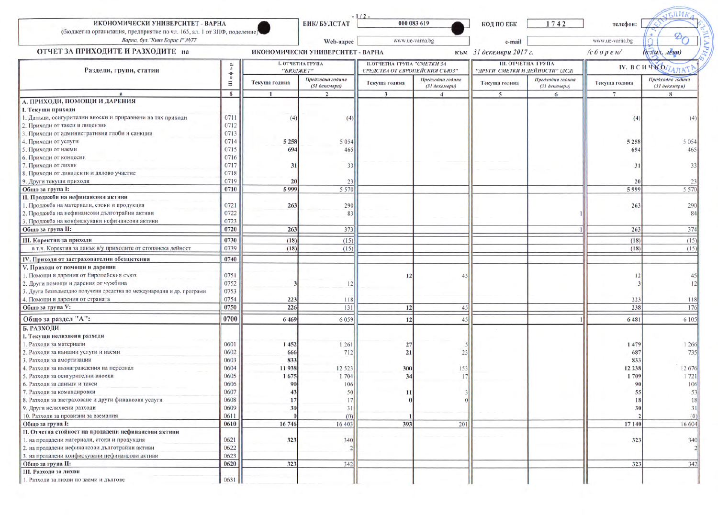| ИКОНОМИЧЕСКИ УНИВЕРСИТЕТ - ВАРНА<br>(бюджетна организация, предприятие по чл. 165, ал. 1 от ЗПФ, поделение)<br>Варна, бул. "Княз Борис І" №77 |                         |                                  | ЕИК/БУЛСТАТ                       | $-1/2-$                       | 000 083 619                       | <b>КОД ПО ЕБК</b>               | 1742                              | телефон:           |                                   |
|-----------------------------------------------------------------------------------------------------------------------------------------------|-------------------------|----------------------------------|-----------------------------------|-------------------------------|-----------------------------------|---------------------------------|-----------------------------------|--------------------|-----------------------------------|
|                                                                                                                                               |                         |                                  | Web-адрес                         |                               | www.ue-varna.bg                   |                                 |                                   | www.ue-varna.bg    |                                   |
| ОТЧЕТ ЗА ПРИХОДИТЕ И РАЗХОДИТЕ на                                                                                                             |                         | ИКОНОМИЧЕСКИ УНИВЕРСИТЕТ - ВАРНА |                                   |                               | e-mail<br>към 31 декември 2017 г. |                                 | (в хил. лева)<br>$/c\delta$ open/ |                    |                                   |
|                                                                                                                                               |                         |                                  | <b>I. ОТЧЕТНА ГРУПА</b>           | П.ОТЧЕТНА ГРУПА "СМЕТКИ ЗА    |                                   | <b>III. ОТЧЕТНА ГРУПА</b>       |                                   | <b>IV. ВСИЧКОД</b> |                                   |
| Раздели, групи, статии                                                                                                                        | P<br>A<br>$\frac{1}{n}$ | "БЮДЖЕТ"                         |                                   | СРЕДСТВА ОТ ЕВРОПЕЙСКИЯ СЪЮЗ" |                                   | "ДРУГИ СМЕТКИ И ДЕЙНОСТИ" (ДСД) |                                   |                    |                                   |
|                                                                                                                                               | Ξ                       | Текуща година                    | Предходна година<br>(31 декември) | Текуща година                 | Предходна година<br>(31 декември) | Текуща година                   | Предходна година<br>(31 декември) | Текуща година      | Предходна година<br>(31 декември) |
|                                                                                                                                               | 6                       |                                  | $\mathcal{L}$                     | 3                             |                                   | 5                               | -6                                |                    | $\mathbf{R}$                      |
| А. ПРИХОДИ, ПОМОЩИ И ДАРЕНИЯ                                                                                                                  |                         |                                  |                                   |                               |                                   |                                 |                                   |                    |                                   |
| <b>I. Текущи приходи</b>                                                                                                                      |                         |                                  |                                   |                               |                                   |                                 |                                   |                    |                                   |
| 1. Данъци, осигурителни вноски и приравнени на тях приходи                                                                                    | 0711<br>0712            | (4)                              | (4)                               |                               |                                   |                                 |                                   | (4)                |                                   |
| 2. Приходи от такси и лицензии                                                                                                                |                         |                                  |                                   |                               |                                   |                                 |                                   |                    |                                   |
| 3. Приходи от административни глоби и санкции                                                                                                 | 0713                    |                                  |                                   |                               |                                   |                                 |                                   |                    |                                   |
| 4. Приходи от услуги                                                                                                                          | 0714                    | 5 2 5 8                          | 5 0 5 4                           |                               |                                   |                                 |                                   | 5 2 5 8            | 5 0 5 4                           |
| 5. Приходи от наеми                                                                                                                           | 0715                    | 694                              | 465                               |                               |                                   |                                 |                                   | 694                | 465                               |
| 6. Приходи от концесии                                                                                                                        | 0716                    |                                  |                                   |                               |                                   |                                 |                                   |                    |                                   |
| 7. Приходи от лихви                                                                                                                           | 0717                    | 31                               | 33                                |                               |                                   |                                 |                                   | 31                 | 33                                |
| 8. Приходи от дивиденти и дялово участие                                                                                                      | 0718                    |                                  |                                   |                               |                                   |                                 |                                   |                    |                                   |
| 9. Други текущи приходи                                                                                                                       | 0719                    | 20                               | 23                                |                               |                                   |                                 |                                   | 20                 |                                   |
| Общо за група I:                                                                                                                              | 0710                    | 5999                             | 5 5 7 (                           |                               |                                   |                                 |                                   | 5999               | 5 5 7 0                           |
| <b>II.</b> Продажби на нефинансови активи                                                                                                     |                         |                                  |                                   |                               |                                   |                                 |                                   |                    |                                   |
| 1. Продажба на материали, стоки и продукция                                                                                                   | 0721                    | 263                              | 290                               |                               |                                   |                                 |                                   | 263                | 290                               |
| 2. Продажба на нефинансови дълготрайни активи                                                                                                 | 0722                    |                                  | 83                                |                               |                                   |                                 |                                   |                    | 84                                |
| 3. Продажба на конфискувани нефинансови активи                                                                                                | 0723                    |                                  |                                   |                               |                                   |                                 |                                   |                    |                                   |
| Общо за група II:                                                                                                                             | 0720                    | 263                              | 373                               |                               |                                   |                                 |                                   | 263                | 374                               |
| <b>III.</b> Коректив за приходи                                                                                                               | 0730                    | (18)                             | (15)                              |                               |                                   |                                 |                                   | (18)               | (15)                              |
| в т.ч. Коректив за данък в/у приходите от стопанска дейност                                                                                   | 0739                    | (18)                             | (15)                              |                               |                                   |                                 |                                   | (18)               | (15)                              |
| IV. Приходи от застрахователни обезщетения                                                                                                    | 0740                    |                                  |                                   |                               |                                   |                                 |                                   |                    |                                   |
| V. Приходи от помощи и дарения                                                                                                                |                         |                                  |                                   |                               |                                   |                                 |                                   |                    |                                   |
| 1. Помощи и дарения от Европейския съюз                                                                                                       | 0751                    |                                  |                                   | 12                            |                                   |                                 |                                   | 12                 | 45                                |
| 2. Други помощи и дарения от чужбина                                                                                                          | 0752                    |                                  | 12                                |                               |                                   |                                 |                                   |                    | 12                                |
| 3. Други безвъзмездно получени средства по международни и др. програми                                                                        | 0753                    |                                  |                                   |                               |                                   |                                 |                                   |                    |                                   |
| 4. Помощи и дарения от страната                                                                                                               | 0754                    | 223                              | 118                               |                               |                                   |                                 |                                   | 223                | 118                               |
| Общо за група V:                                                                                                                              | 0750                    | 226                              | 131                               | 12                            | 45                                |                                 |                                   | 238                | 176                               |
| Общо за раздел "А":                                                                                                                           | 0700                    |                                  |                                   |                               |                                   |                                 |                                   |                    |                                   |
| Б. РАЗХОДИ                                                                                                                                    |                         | 6 4 6 9                          | 6 0 5 9                           | 12                            | 45                                |                                 |                                   | 6 481              | 6 105                             |
| I. Текущи нелихвени разходи                                                                                                                   |                         |                                  |                                   |                               |                                   |                                 |                                   |                    |                                   |
| 1. Разходи за материали                                                                                                                       | 0601                    | 1452                             | 1 2 6 1                           | 27                            |                                   |                                 |                                   | 1479               | 1 2 6 6                           |
| 2. Разходи за външни услуги и наеми                                                                                                           | 0602                    | 666                              | 712                               | 21                            |                                   |                                 |                                   | 687                | 735                               |
| 3. Разходи за амортизации                                                                                                                     | 0603                    | 833                              |                                   |                               |                                   |                                 |                                   | 833                |                                   |
| 4. Разходи за възнаграждения на персонал                                                                                                      | 0604                    | 11938                            | 12 5 23                           | 300                           | 153                               |                                 |                                   | 12 238             | 12 676                            |
| 5. Разходи за осигурителни вноски                                                                                                             | 0605                    | 1675                             | 1 704                             | 34                            | 17                                |                                 |                                   | 1709               | 1721                              |
| 6. Разходи за данъци и такси                                                                                                                  | 0606                    | 90                               | 106                               |                               |                                   |                                 |                                   | 90                 | 106                               |
| 7. Разходи за командировки                                                                                                                    | 0607                    |                                  | 50                                | 11                            |                                   |                                 |                                   | ວວ                 |                                   |
| 8. Разходи за застраховане и други финансови услуги                                                                                           | 0608                    |                                  | 17                                |                               |                                   |                                 |                                   | 18                 |                                   |
| 9. Други нелихвени разходи                                                                                                                    | 0609                    | 30                               | 31                                |                               |                                   |                                 |                                   | 30                 | 31                                |
| 10. Разходи за провизии за вземания                                                                                                           | 0611                    |                                  | (0)                               |                               |                                   |                                 |                                   |                    | (0)                               |
| Общо за група І:                                                                                                                              | 0610                    | 16 746                           | 16 403                            | 393                           | 201                               |                                 |                                   | 17 140             | 16 604                            |
| II. Отчетна стойност на продадени нефинансови активи                                                                                          |                         |                                  |                                   |                               |                                   |                                 |                                   |                    |                                   |
| 1. на продадени материали, стоки и продукция                                                                                                  | 0621                    | 323                              | 340                               |                               |                                   |                                 |                                   | 323                | 340                               |
| 2. на продадени нефинансови дълготрайни активи                                                                                                | 0622                    |                                  |                                   |                               |                                   |                                 |                                   |                    |                                   |
| 3. на продадени конфискувани нефинансови активи                                                                                               | 0623                    |                                  |                                   |                               |                                   |                                 |                                   |                    |                                   |
| Общо за група II:                                                                                                                             | 0620                    | 323                              | 342                               |                               |                                   |                                 |                                   | 323                | 342                               |
| <b>III. Разходи за лихви</b>                                                                                                                  |                         |                                  |                                   |                               |                                   |                                 |                                   |                    |                                   |
| 1. Разходи за лихви по заеми и дългове                                                                                                        | 0631                    |                                  |                                   |                               |                                   |                                 |                                   |                    |                                   |
|                                                                                                                                               |                         |                                  |                                   |                               |                                   |                                 |                                   |                    |                                   |